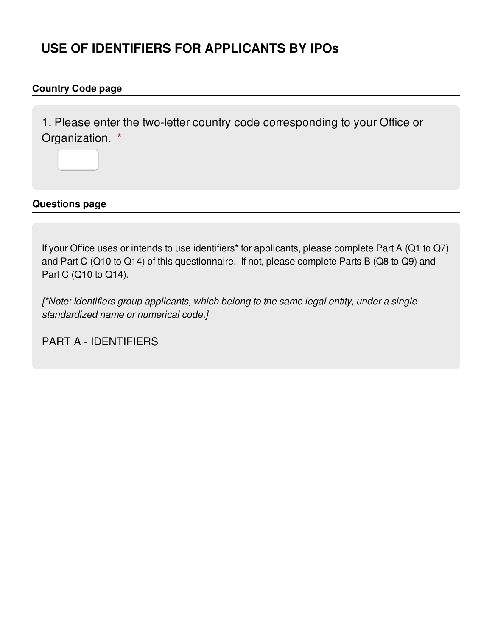# **USE OF IDENTIFIERS FOR APPLICANTS BY IPOs**

### **Country Code page**

1. Please enter the two-letter country code corresponding to your Office or Organization. **\***

**Questions page**

If your Office uses or intends to use identifiers\* for applicants, please complete Part A (Q1 to Q7) and Part C (Q10 to Q14) of this questionnaire. If not, please complete Parts B (Q8 to Q9) and Part C (Q10 to Q14).

*[\*Note: Identifiers group applicants, which belong to the same legal entity, under a single standardized name or numerical code.]*

PART A - IDENTIFIERS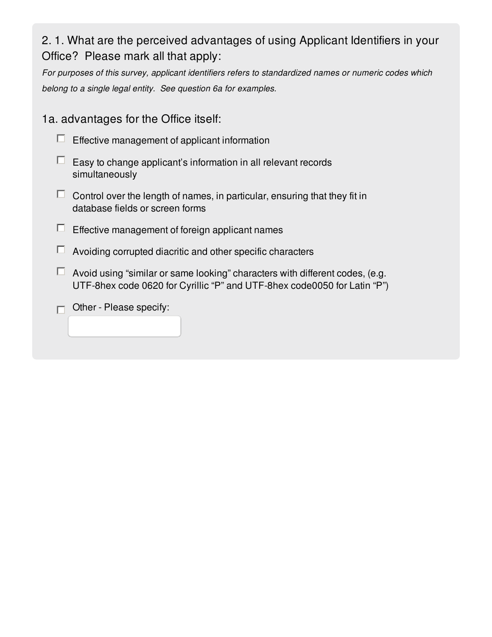# 2. 1. What are the perceived advantages of using Applicant Identifiers in your Office? Please mark all that apply:

*For purposes of this survey, applicant identifiers refers to standardized names or numeric codes which belong to a single legal entity. See question 6a for examples.*

1a. advantages for the Office itself:



- $\Box$  Easy to change applicant's information in all relevant records simultaneously
- $\Box$  Control over the length of names, in particular, ensuring that they fit in database fields or screen forms
- $\Box$  Effective management of foreign applicant names
- $\Box$  Avoiding corrupted diacritic and other specific characters
- $\Box$  Avoid using "similar or same looking" characters with different codes, (e.g. UTF-8hex code 0620 for Cyrillic "P" and UTF-8hex code0050 for Latin "P")
- $\Box$  Other Please specify: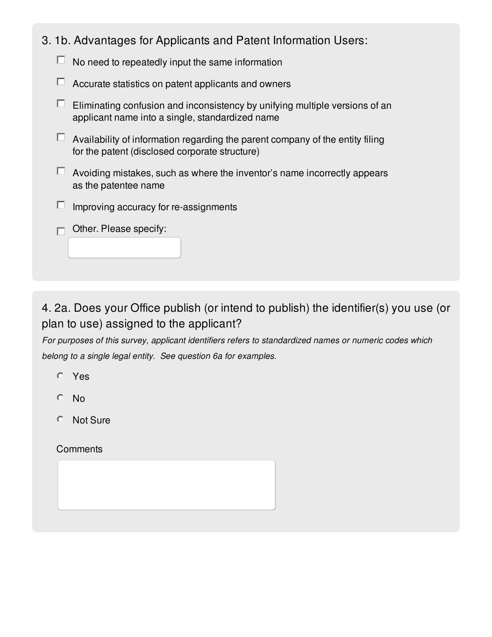| 3. 1b. Advantages for Applicants and Patent Information Users: |  |  |  |  |  |  |  |  |  |
|----------------------------------------------------------------|--|--|--|--|--|--|--|--|--|
|----------------------------------------------------------------|--|--|--|--|--|--|--|--|--|

| No need to repeatedly input the same information |
|--------------------------------------------------|
|--------------------------------------------------|

- $\Box$  Accurate statistics on patent applicants and owners
- $\Box$  Eliminating confusion and inconsistency by unifying multiple versions of an applicant name into a single, standardized name
- $\Box$  Availability of information regarding the parent company of the entity filing for the patent (disclosed corporate structure)
- $\Box$  Avoiding mistakes, such as where the inventor's name incorrectly appears as the patentee name
- $\Box$ Improving accuracy for re-assignments
- $\Box$  Other. Please specify:

## 4. 2a. Does your Office publish (or intend to publish) the identifier(s) you use (or plan to use) assigned to the applicant?

*For purposes of this survey, applicant identifiers refers to standardized names or numeric codes which belong to a single legal entity. See question 6a for examples.*

- Yes
- No
- Not Sure

#### **Comments**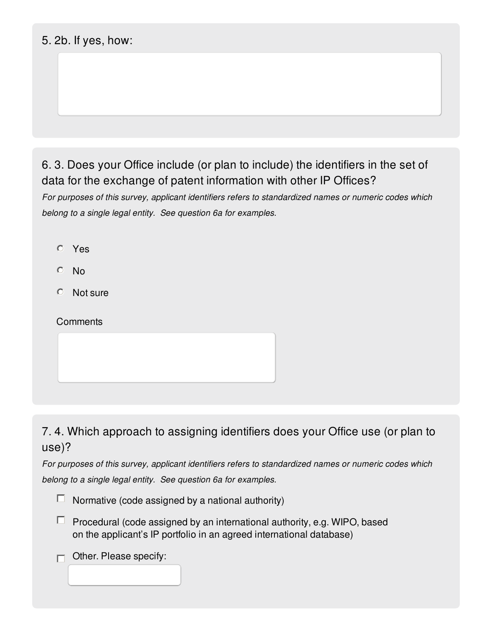### 5. 2b. If yes, how:

## 6. 3. Does your Office include (or plan to include) the identifiers in the set of data for the exchange of patent information with other IP Offices?

*For purposes of this survey, applicant identifiers refers to standardized names or numeric codes which belong to a single legal entity. See question 6a for examples.*

- Yes
- $O$  No
- Not sure

#### **Comments**

7. 4. Which approach to assigning identifiers does your Office use (or plan to use)?

*For purposes of this survey, applicant identifiers refers to standardized names or numeric codes which belong to a single legal entity. See question 6a for examples.*



 $\Box$  Procedural (code assigned by an international authority, e.g. WIPO, based on the applicant's IP portfolio in an agreed international database)

Other. Please specify: $\Box$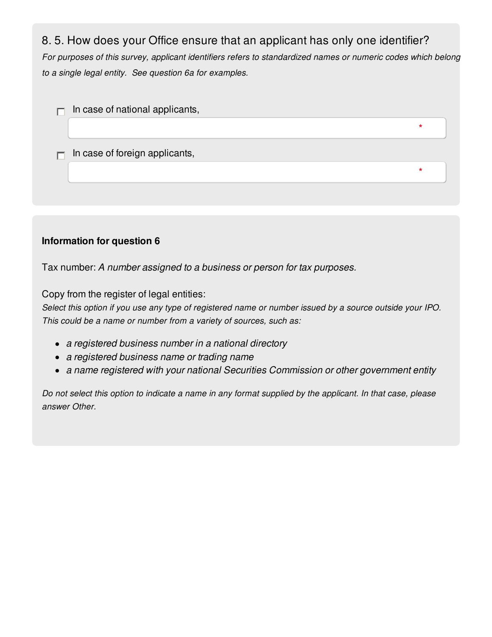### 8. 5. How does your Office ensure that an applicant has only one identifier?

*For purposes of this survey, applicant identifiers refers to standardized names or numeric codes which belong to a single legal entity. See question 6a for examples.*



### **Information for question 6**

Tax number: *A number assigned to a business or person for tax purposes.*

Copy from the register of legal entities:

Select this option if you use any type of registered name or number issued by a source outside your IPO. *This could be a name or number from a variety of sources, such as:*

- *a registered business number in a national directory*
- *a registered business name or trading name*
- *a name registered with your national Securities Commission or other government entity*

Do not select this option to indicate a name in any format supplied by the applicant. In that case, please *answer Other.*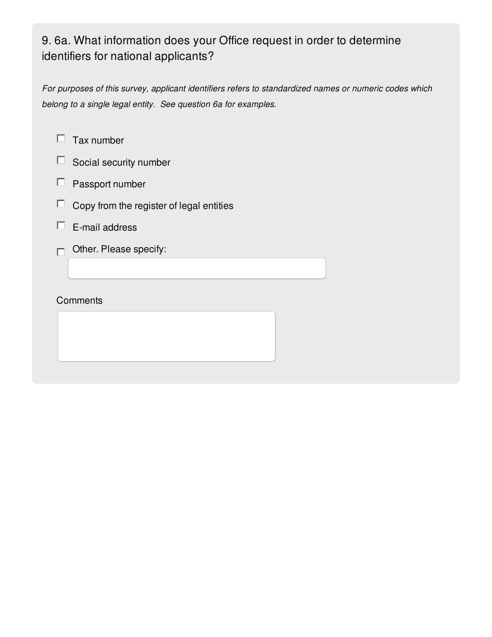# 9. 6a. What information does your Office request in order to determine identifiers for national applicants?

*For purposes of this survey, applicant identifiers refers to standardized names or numeric codes which belong to a single legal entity. See question 6a for examples.*

- $\Box$  Tax number
- $\square$  Social security number
- $\Box$  Passport number
- $\Box$ Copy from the register of legal entities
- $\Box$  E-mail address
- $\Box$  Other. Please specify:

#### **Comments**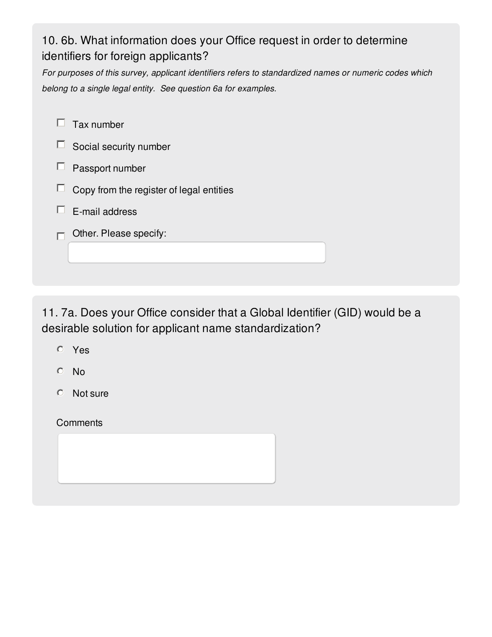# 10. 6b. What information does your Office request in order to determine identifiers for foreign applicants?

*For purposes of this survey, applicant identifiers refers to standardized names or numeric codes which belong to a single legal entity. See question 6a for examples.*

| Tax number                               |
|------------------------------------------|
| Social security number                   |
| Passport number                          |
| Copy from the register of legal entities |
| E-mail address                           |
| Other. Please specify:                   |
|                                          |

11. 7a. Does your Office consider that a Global Identifier (GID) would be a desirable solution for applicant name standardization?

- Yes
- No
- Not sure

**Comments**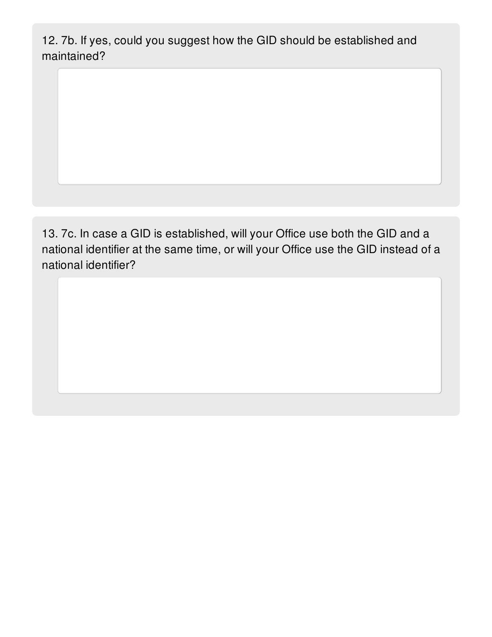12. 7b. If yes, could you suggest how the GID should be established and maintained?

13. 7c. In case a GID is established, will your Office use both the GID and a national identifier at the same time, or will your Office use the GID instead of a national identifier?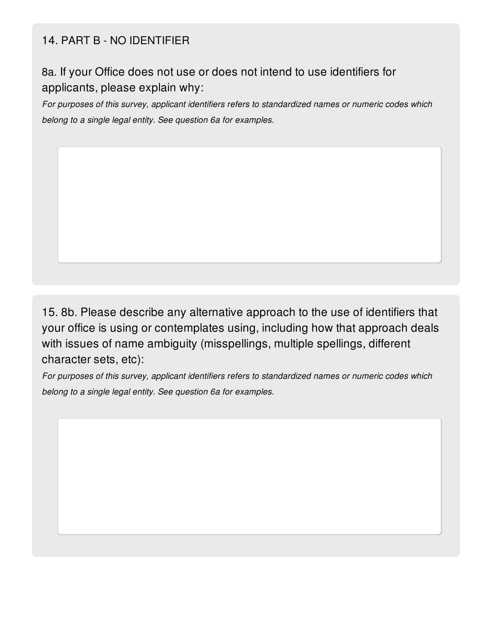### 14. PART B - NO IDENTIFIER

8a. If your Office does not use or does not intend to use identifiers for applicants, please explain why:

*For purposes of this survey, applicant identifiers refers to standardized names or numeric codes which belong to a single legal entity. See question 6a for examples.*

15. 8b. Please describe any alternative approach to the use of identifiers that your office is using or contemplates using, including how that approach deals with issues of name ambiguity (misspellings, multiple spellings, different character sets, etc):

*For purposes of this survey, applicant identifiers refers to standardized names or numeric codes which belong to a single legal entity. See question 6a for examples.*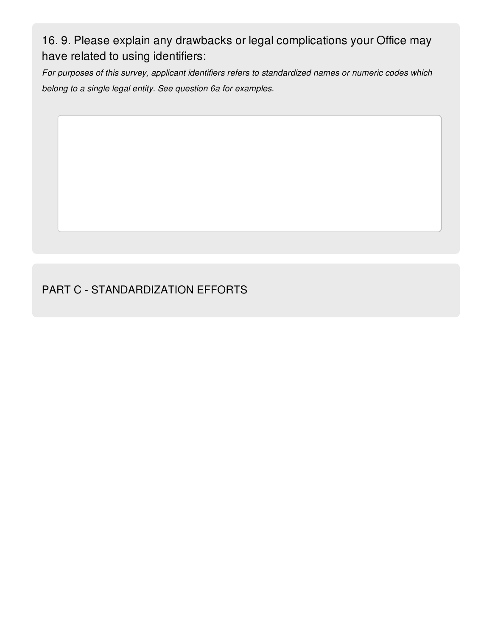16. 9. Please explain any drawbacks or legal complications your Office may have related to using identifiers:

*For purposes of this survey, applicant identifiers refers to standardized names or numeric codes which belong to a single legal entity. See question 6a for examples.*

### PART C - STANDARDIZATION EFFORTS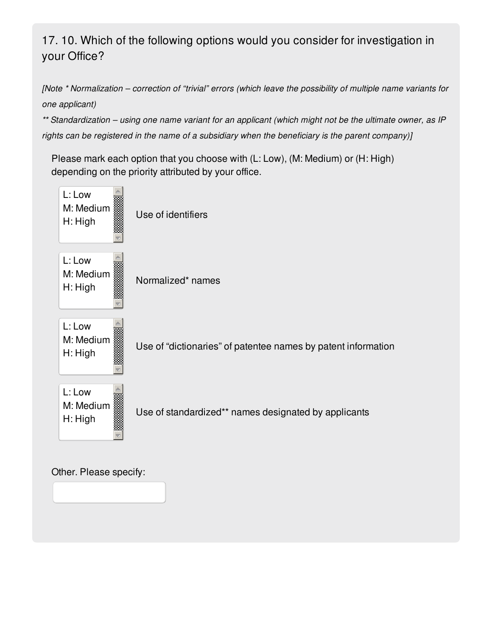# 17. 10. Which of the following options would you consider for investigation in your Office?

[Note \* Normalization - correction of "trivial" errors (which leave the possibility of multiple name variants for *one applicant)*

\*\* Standardization - using one name variant for an applicant (which might not be the ultimate owner, as IP *rights can be registered in the name of a subsidiary when the beneficiary is the parent company)]*

Please mark each option that you choose with (L: Low), (M: Medium) or (H: High) depending on the priority attributed by your office.



Other. Please specify: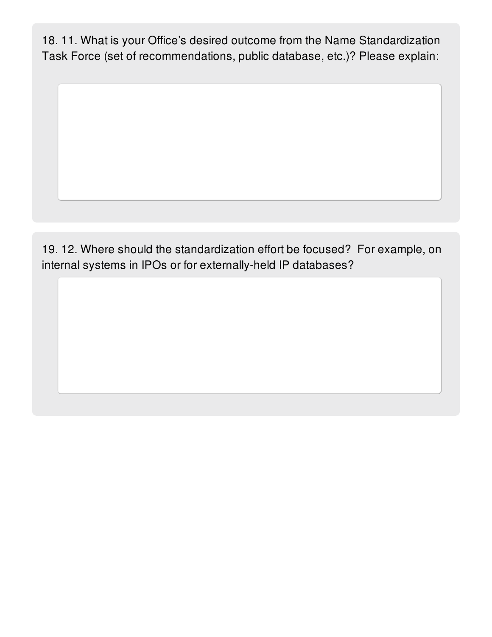18. 11. What is your Office's desired outcome from the Name Standardization Task Force (set of recommendations, public database, etc.)? Please explain:

19. 12. Where should the standardization effort be focused? For example, on internal systems in IPOs or for externally-held IP databases?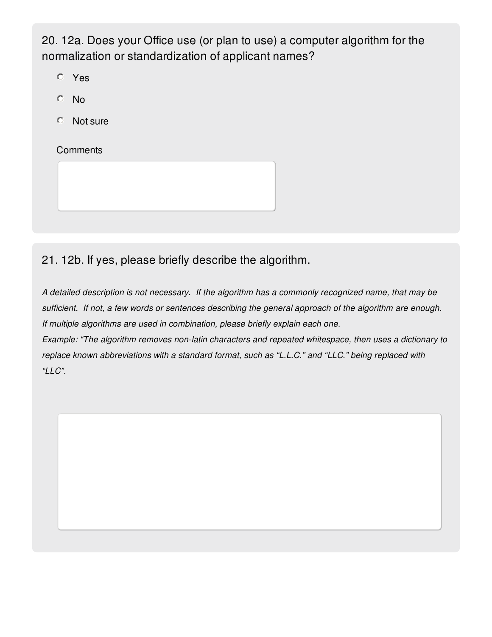20. 12a. Does your Office use (or plan to use) a computer algorithm for the normalization or standardization of applicant names?

Yes

- No
- Not sure

**Comments** 

21. 12b. If yes, please briefly describe the algorithm.

*A detailed description is not necessary. If the algorithm has a commonly recognized name, that may be sufficient. If not, a few words or sentences describing the general approach of the algorithm are enough. If multiple algorithms are used in combination, please briefly explain each one. Example: "The algorithm removes non-latin characters and repeated whitespace, then uses a dictionary to replace known abbreviations with a standard format, such as "L.L.C." and "LLC." being replaced with "LLC".*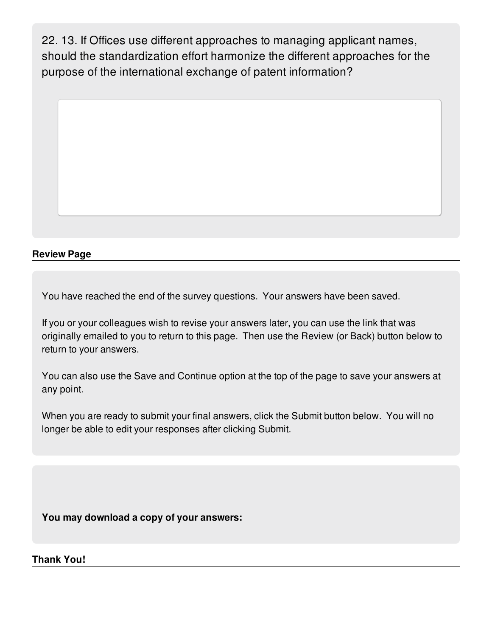22. 13. If Offices use different approaches to managing applicant names, should the standardization effort harmonize the different approaches for the purpose of the international exchange of patent information?



### **Review Page**

You have reached the end of the survey questions. Your answers have been saved.

If you or your colleagues wish to revise your answers later, you can use the link that was originally emailed to you to return to this page. Then use the Review (or Back) button below to return to your answers.

You can also use the Save and Continue option at the top of the page to save your answers at any point.

When you are ready to submit your final answers, click the Submit button below. You will no longer be able to edit your responses after clicking Submit.

**You may download a copy of your answers:**

**Thank You!**